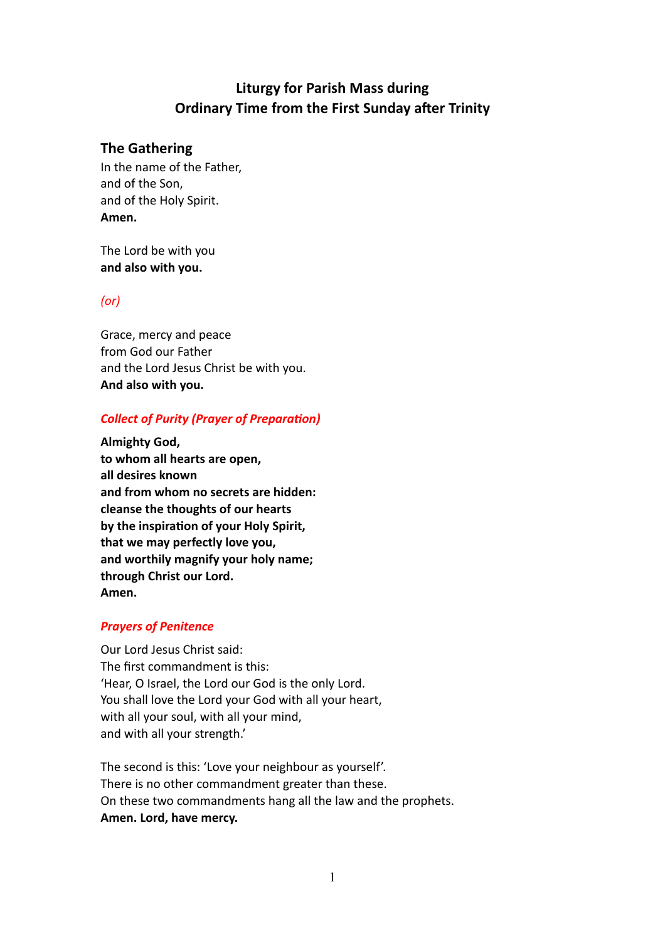# **Liturgy for Parish Mass during Ordinary Time from the First Sunday after Trinity**

# **The Gathering**

In the name of the Father, and of the Son, and of the Holy Spirit. **Amen.** 

The Lord be with you **and also with you.** 

# *(or)*

Grace, mercy and peace from God our Father and the Lord Jesus Christ be with you. **And also with you.** 

# **Collect of Purity (Prayer of Preparation)**

**Almighty God, to whom all hearts are open, all desires known and from whom no secrets are hidden: cleanse the thoughts of our hearts**  by the inspiration of your Holy Spirit, **that we may perfectly love you, and worthily magnify your holy name; through Christ our Lord. Amen.** 

## *Prayers of Penitence*

Our Lord Jesus Christ said: The first commandment is this: 'Hear, O Israel, the Lord our God is the only Lord. You shall love the Lord your God with all your heart, with all your soul, with all your mind, and with all your strength.'

The second is this: 'Love your neighbour as yourself'. There is no other commandment greater than these. On these two commandments hang all the law and the prophets. **Amen. Lord, have mercy.**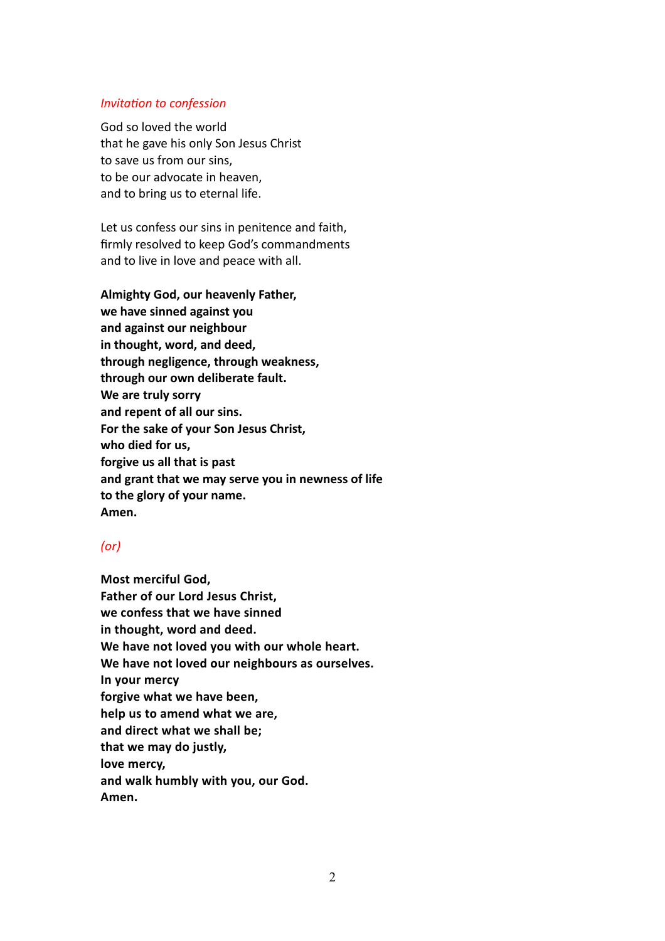#### *Invitation to confession*

God so loved the world that he gave his only Son Jesus Christ to save us from our sins, to be our advocate in heaven, and to bring us to eternal life.

Let us confess our sins in penitence and faith, firmly resolved to keep God's commandments and to live in love and peace with all.

**Almighty God, our heavenly Father, we have sinned against you and against our neighbour in thought, word, and deed, through negligence, through weakness, through our own deliberate fault. We are truly sorry and repent of all our sins. For the sake of your Son Jesus Christ, who died for us, forgive us all that is past and grant that we may serve you in newness of life to the glory of your name. Amen.** 

### *(or)*

**Most merciful God, Father of our Lord Jesus Christ, we confess that we have sinned in thought, word and deed. We have not loved you with our whole heart. We have not loved our neighbours as ourselves. In your mercy forgive what we have been, help us to amend what we are, and direct what we shall be; that we may do justly, love mercy, and walk humbly with you, our God. Amen.**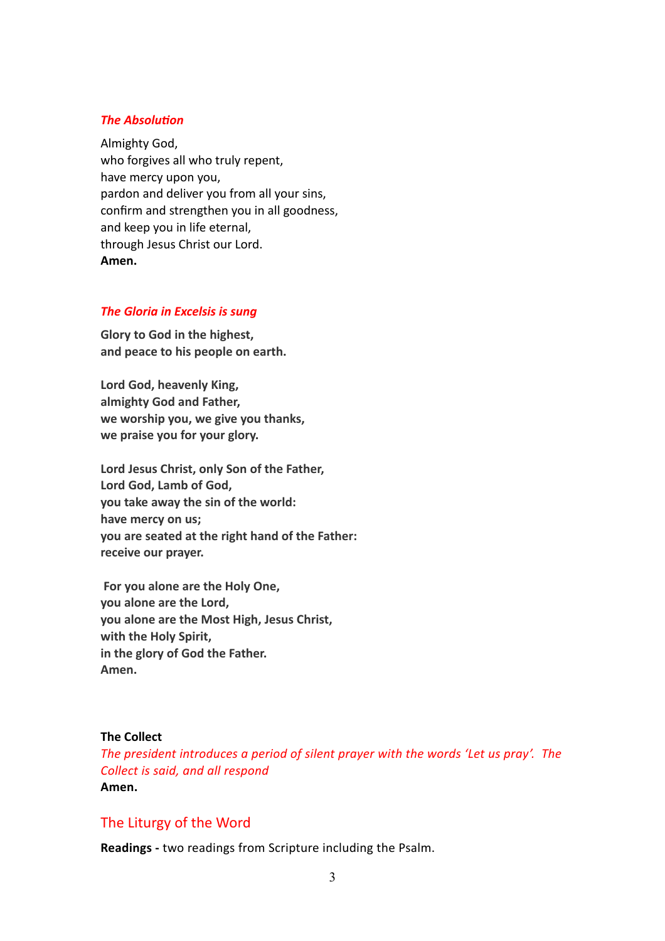#### **The Absolution**

Almighty God, who forgives all who truly repent, have mercy upon you, pardon and deliver you from all your sins, confirm and strengthen you in all goodness, and keep you in life eternal, through Jesus Christ our Lord. **Amen.** 

#### *The Gloria in Excelsis is sung*

**Glory to God in the highest, and peace to his people on earth.** 

**Lord God, heavenly King, almighty God and Father, we worship you, we give you thanks, we praise you for your glory.** 

**Lord Jesus Christ, only Son of the Father, Lord God, Lamb of God, you take away the sin of the world: have mercy on us; you are seated at the right hand of the Father: receive our prayer.** 

**For you alone are the Holy One, you alone are the Lord, you alone are the Most High, Jesus Christ, with the Holy Spirit, in the glory of God the Father. Amen.** 

#### **The Collect**

*The president introduces a period of silent prayer with the words 'Let us pray'. The Collect is said, and all respond* **Amen.**

## The Liturgy of the Word

**Readings -** two readings from Scripture including the Psalm.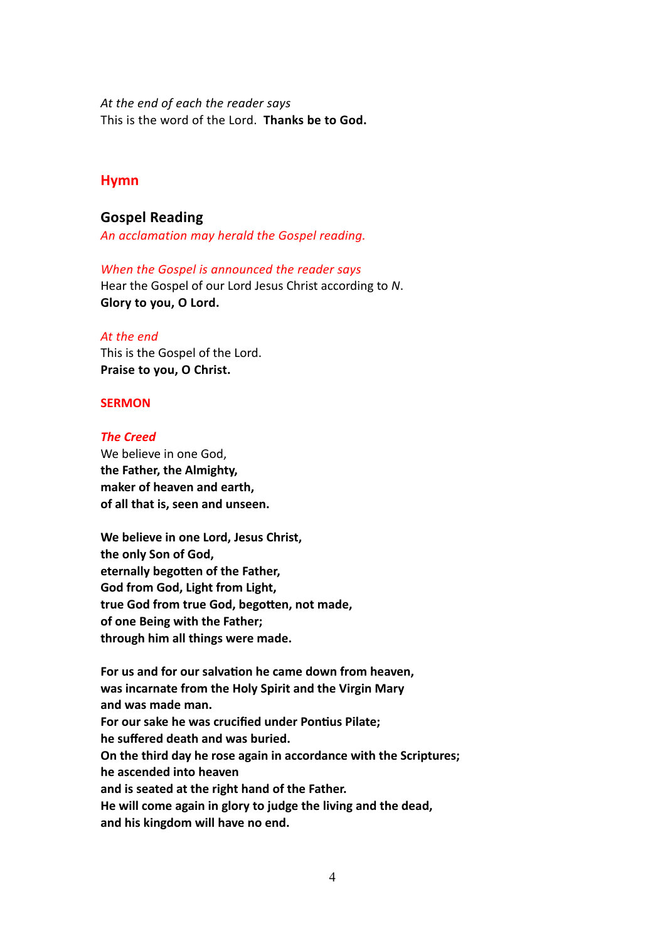*At the end of each the reader says*  This is the word of the Lord. **Thanks be to God.** 

## **Hymn**

**Gospel Reading** *An acclamation may herald the Gospel reading.*

*When the Gospel is announced the reader says* Hear the Gospel of our Lord Jesus Christ according to *N*. **Glory to you, O Lord.**

#### *At the end*

This is the Gospel of the Lord. **Praise to you, O Christ.**

#### **SERMON**

#### *The Creed*

We believe in one God, **the Father, the Almighty, maker of heaven and earth, of all that is, seen and unseen.** 

**We believe in one Lord, Jesus Christ, the only Son of God, eternally begotten of the Father, God from God, Light from Light,**  true God from true God, begotten, not made, **of one Being with the Father; through him all things were made.** 

For us and for our salvation he came down from heaven, **was incarnate from the Holy Spirit and the Virgin Mary and was made man.**  For our sake he was crucified under Pontius Pilate; **he suffered death and was buried. On the third day he rose again in accordance with the Scriptures; he ascended into heaven and is seated at the right hand of the Father. He will come again in glory to judge the living and the dead, and his kingdom will have no end.**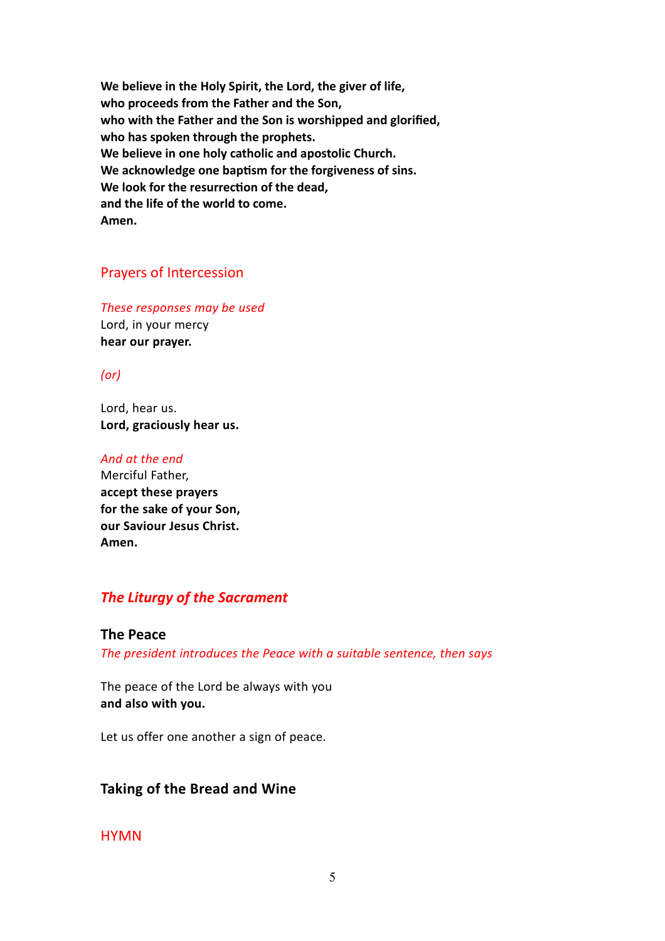**We believe in the Holy Spirit, the Lord, the giver of life, who proceeds from the Father and the Son, who with the Father and the Son is worshipped and glorified, who has spoken through the prophets. We believe in one holy catholic and apostolic Church.**  We acknowledge one baptism for the forgiveness of sins. We look for the resurrection of the dead, **and the life of the world to come. Amen.** 

# Prayers of Intercession

*These responses may be used* Lord, in your mercy **hear our prayer.** 

*(or)* 

Lord, hear us. **Lord, graciously hear us.** 

### *And at the end*

Merciful Father, **accept these prayers for the sake of your Son, our Saviour Jesus Christ. Amen.** 

# *The Liturgy of the Sacrament*

## **The Peace**

*The president introduces the Peace with a suitable sentence, then says*

The peace of the Lord be always with you **and also with you.**

Let us offer one another a sign of peace.

## **Taking of the Bread and Wine**

### HYMN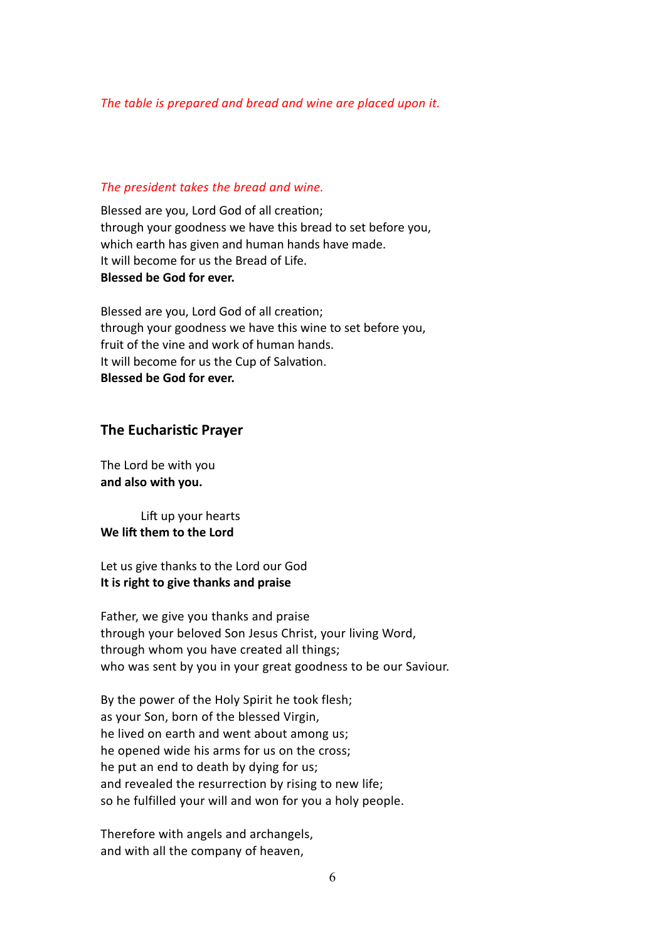#### *The table is prepared and bread and wine are placed upon it.*

#### *The president takes the bread and wine.*

Blessed are you, Lord God of all creation; through your goodness we have this bread to set before you, which earth has given and human hands have made. It will become for us the Bread of Life. **Blessed be God for ever.** 

Blessed are you, Lord God of all creation; through your goodness we have this wine to set before you, fruit of the vine and work of human hands. It will become for us the Cup of Salvation. **Blessed be God for ever.** 

### **The Eucharistic Prayer**

The Lord be with you **and also with you.** 

Lift up your hearts **We lift them to the Lord** 

Let us give thanks to the Lord our God **It is right to give thanks and praise** 

Father, we give you thanks and praise through your beloved Son Jesus Christ, your living Word, through whom you have created all things; who was sent by you in your great goodness to be our Saviour.

By the power of the Holy Spirit he took flesh; as your Son, born of the blessed Virgin, he lived on earth and went about among us; he opened wide his arms for us on the cross; he put an end to death by dying for us; and revealed the resurrection by rising to new life; so he fulfilled your will and won for you a holy people.

Therefore with angels and archangels, and with all the company of heaven,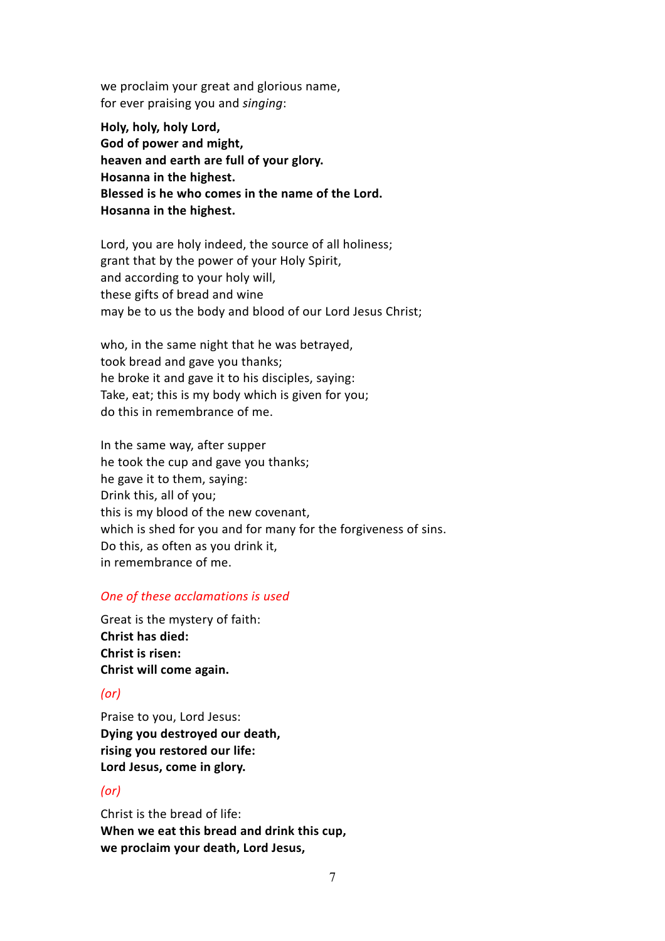we proclaim your great and glorious name, for ever praising you and *singing*:

**Holy, holy, holy Lord, God of power and might, heaven and earth are full of your glory. Hosanna in the highest. Blessed is he who comes in the name of the Lord. Hosanna in the highest.** 

Lord, you are holy indeed, the source of all holiness; grant that by the power of your Holy Spirit, and according to your holy will, these gifts of bread and wine may be to us the body and blood of our Lord Jesus Christ;

who, in the same night that he was betrayed, took bread and gave you thanks; he broke it and gave it to his disciples, saying: Take, eat; this is my body which is given for you; do this in remembrance of me.

In the same way, after supper he took the cup and gave you thanks; he gave it to them, saying: Drink this, all of you; this is my blood of the new covenant, which is shed for you and for many for the forgiveness of sins. Do this, as often as you drink it, in remembrance of me.

### *One of these acclamations is used*

Great is the mystery of faith: **Christ has died: Christ is risen: Christ will come again.** 

### *(or)*

Praise to you, Lord Jesus: **Dying you destroyed our death, rising you restored our life: Lord Jesus, come in glory.** 

### *(or)*

Christ is the bread of life: **When we eat this bread and drink this cup, we proclaim your death, Lord Jesus,**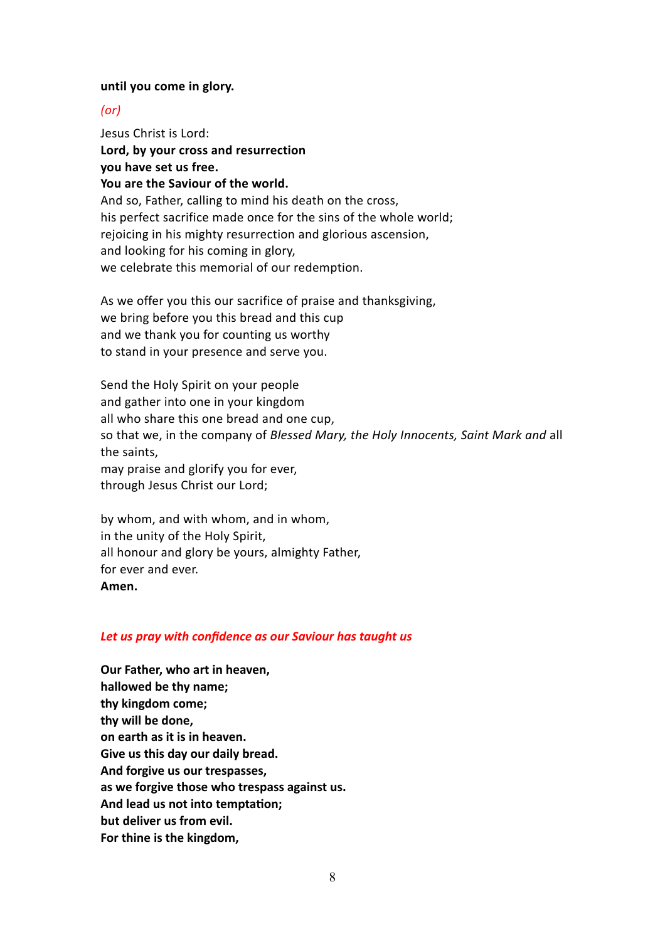#### **until you come in glory.**

#### *(or)*

Jesus Christ is Lord: **Lord, by your cross and resurrection you have set us free. You are the Saviour of the world.**  And so, Father, calling to mind his death on the cross, his perfect sacrifice made once for the sins of the whole world; rejoicing in his mighty resurrection and glorious ascension, and looking for his coming in glory, we celebrate this memorial of our redemption.

As we offer you this our sacrifice of praise and thanksgiving, we bring before you this bread and this cup and we thank you for counting us worthy to stand in your presence and serve you.

Send the Holy Spirit on your people and gather into one in your kingdom all who share this one bread and one cup, so that we, in the company of *Blessed Mary, the Holy Innocents, Saint Mark and* all the saints, may praise and glorify you for ever, through Jesus Christ our Lord;

by whom, and with whom, and in whom, in the unity of the Holy Spirit, all honour and glory be yours, almighty Father, for ever and ever. **Amen.**

#### *Let us pray with confidence as our Saviour has taught us*

**Our Father, who art in heaven, hallowed be thy name; thy kingdom come; thy will be done, on earth as it is in heaven. Give us this day our daily bread. And forgive us our trespasses, as we forgive those who trespass against us.**  And lead us not into temptation; **but deliver us from evil. For thine is the kingdom,**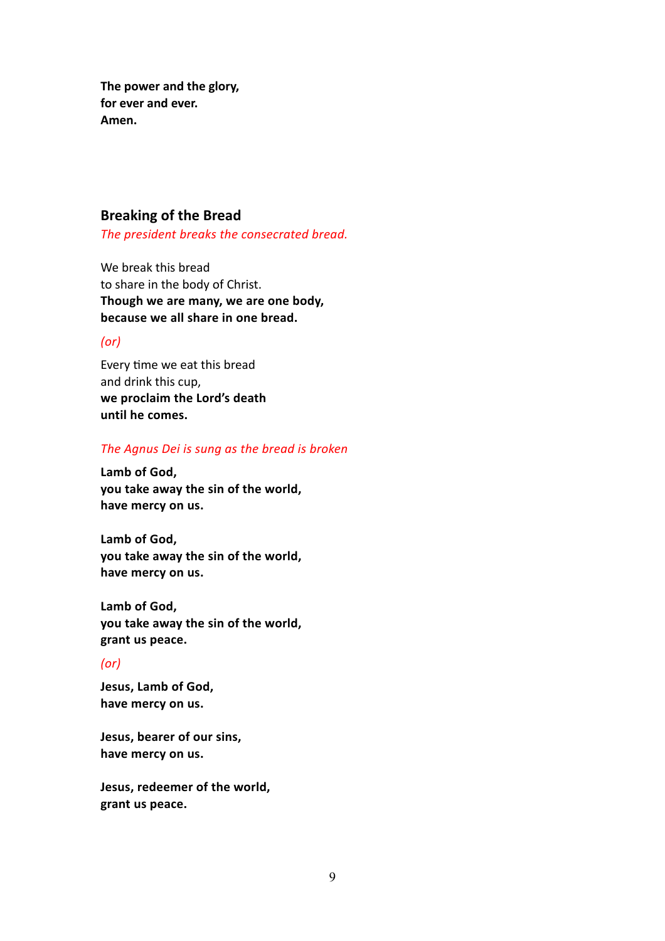**The power and the glory, for ever and ever. Amen.** 

## **Breaking of the Bread**

*The president breaks the consecrated bread.*

We break this bread to share in the body of Christ. **Though we are many, we are one body, because we all share in one bread.** 

### *(or)*

Every time we eat this bread and drink this cup, **we proclaim the Lord's death until he comes.** 

### *The Agnus Dei is sung as the bread is broken*

**Lamb of God, you take away the sin of the world, have mercy on us.** 

**Lamb of God, you take away the sin of the world, have mercy on us.** 

**Lamb of God, you take away the sin of the world, grant us peace.** 

### *(or)*

**Jesus, Lamb of God, have mercy on us.** 

**Jesus, bearer of our sins, have mercy on us.** 

**Jesus, redeemer of the world, grant us peace.**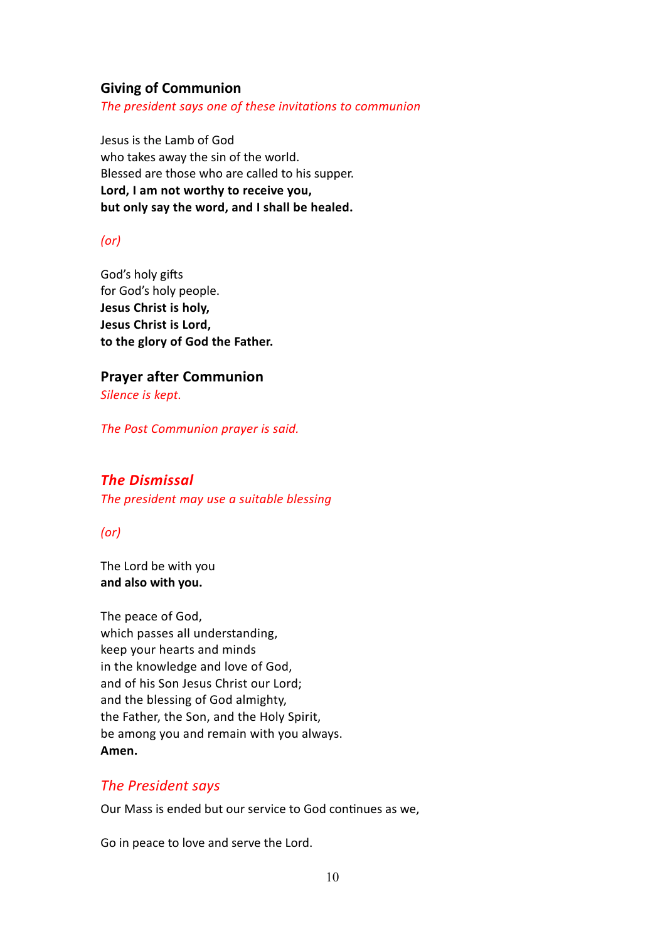## **Giving of Communion**

*The president says one of these invitations to communion*

Jesus is the Lamb of God who takes away the sin of the world. Blessed are those who are called to his supper. **Lord, I am not worthy to receive you, but only say the word, and I shall be healed.**

# *(or)*

God's holy gifts for God's holy people. **Jesus Christ is holy, Jesus Christ is Lord, to the glory of God the Father.**

# **Prayer after Communion**

*Silence is kept.*

*The Post Communion prayer is said.*

# *The Dismissal*

*The president may use a suitable blessing*

*(or)* 

The Lord be with you **and also with you.** 

The peace of God, which passes all understanding, keep your hearts and minds in the knowledge and love of God, and of his Son Jesus Christ our Lord; and the blessing of God almighty, the Father, the Son, and the Holy Spirit, be among you and remain with you always. **Amen.**

# *The President says*

Our Mass is ended but our service to God continues as we,

Go in peace to love and serve the Lord.